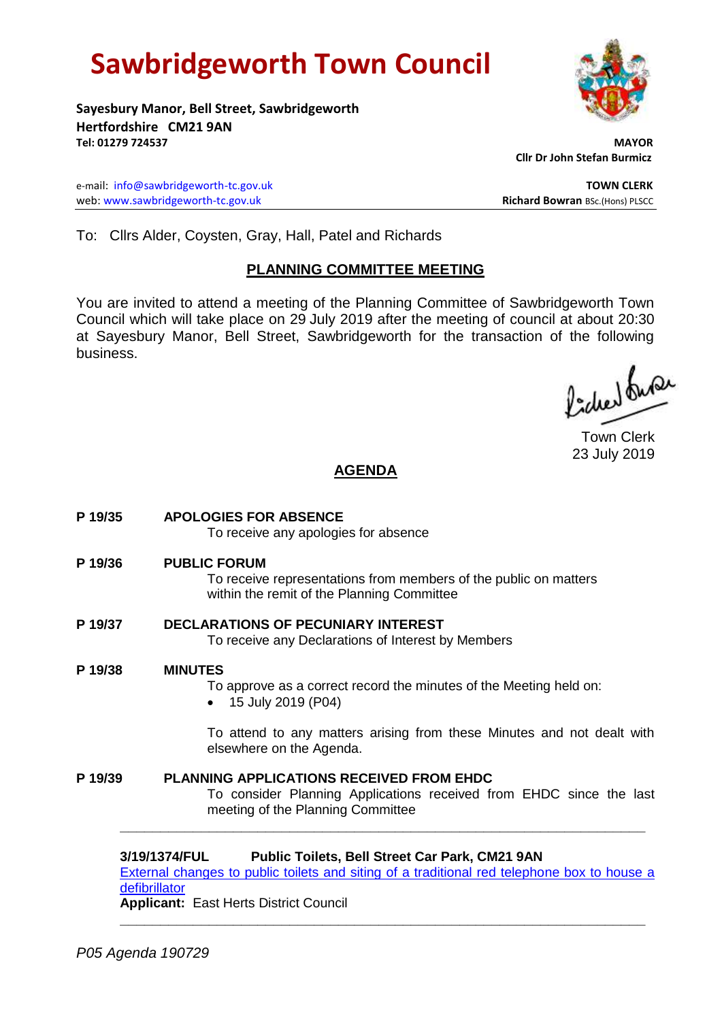# **Sawbridgeworth Town Council**



**Sayesbury Manor, Bell Street, Sawbridgeworth Hertfordshire CM21 9AN Tel: 01279 724537 MAYOR**

e-mail: [info@sawbridgeworth-tc.gov.uk](mailto:info@sawbridgeworth-tc.gov.uk) **TOWN CLERK** web: www.sawbridgeworth-tc.gov.uk<br> **Richard Bowran** BSc.(Hons) PLSCC

 **Cllr Dr John Stefan Burmicz**

To: Cllrs Alder, Coysten, Gray, Hall, Patel and Richards

# **PLANNING COMMITTEE MEETING**

You are invited to attend a meeting of the Planning Committee of Sawbridgeworth Town Council which will take place on 29 July 2019 after the meeting of council at about 20:30 at Sayesbury Manor, Bell Street, Sawbridgeworth for the transaction of the following business.

fides fuse

Town Clerk 23 July 2019

# **AGENDA**

- **P 19/35 APOLOGIES FOR ABSENCE** To receive any apologies for absence **P 19/36 PUBLIC FORUM** To receive representations from members of the public on matters within the remit of the Planning Committee **P 19/37 DECLARATIONS OF PECUNIARY INTEREST** To receive any Declarations of Interest by Members **P 19/38 MINUTES** To approve as a correct record the minutes of the Meeting held on: • 15 July 2019 (P04) To attend to any matters arising from these Minutes and not dealt with elsewhere on the Agenda.
- **P 19/39 PLANNING APPLICATIONS RECEIVED FROM EHDC** To consider Planning Applications received from EHDC since the last meeting of the Planning Committee

**3/19/1374/FUL Public Toilets, Bell Street Car Park, CM21 9AN**

[External changes to public toilets and siting of a traditional red telephone box to house a](https://publicaccess.eastherts.gov.uk/online-applications/applicationDetails.do?activeTab=documents&keyVal=PTV8DOGLK1900)  [defibrillator](https://publicaccess.eastherts.gov.uk/online-applications/applicationDetails.do?activeTab=documents&keyVal=PTV8DOGLK1900)

**\_\_\_\_\_\_\_\_\_\_\_\_\_\_\_\_\_\_\_\_\_\_\_\_\_\_\_\_\_\_\_\_\_\_\_\_\_\_\_\_\_\_\_\_\_\_\_\_\_\_\_\_\_\_\_\_\_\_\_\_\_\_\_\_\_**

**\_\_\_\_\_\_\_\_\_\_\_\_\_\_\_\_\_\_\_\_\_\_\_\_\_\_\_\_\_\_\_\_\_\_\_\_\_\_\_\_\_\_\_\_\_\_\_\_\_\_\_\_\_\_\_\_\_\_\_\_\_\_\_\_\_**

**Applicant:** East Herts District Council